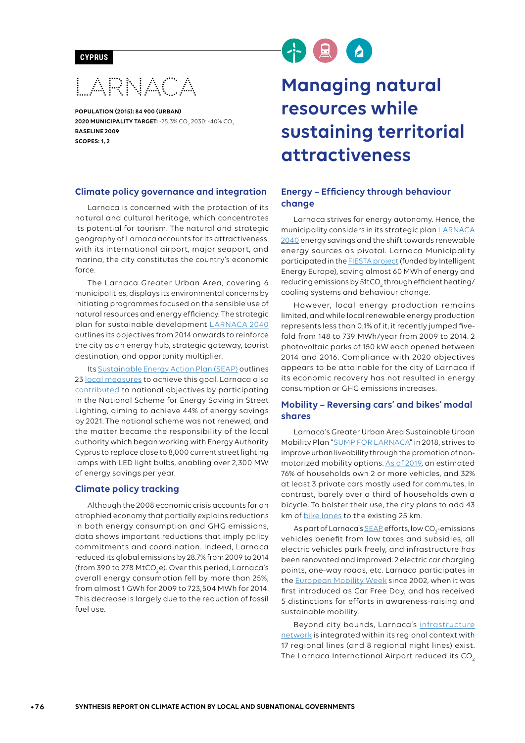#### **CYPRUS**

**LARNACA** 

**POPULATION (2015): 84 900 (URBAN) 2020 MUNICIPALITY TARGET:** -25.3% CO<sub>2</sub> 2030: -40% CO<sub>2</sub> **BASELINE 2009 SCOPES: 1, 2**

#### **Climate policy governance and integration**

Larnaca is concerned with the protection of its natural and cultural heritage, which concentrates its potential for tourism. The natural and strategic geography of Larnaca accounts for its attractiveness: with its international airport, major seaport, and marina, the city constitutes the country's economic force.

The Larnaca Greater Urban Area, covering 6 municipalities, displays its environmental concerns by initiating programmes focused on the sensible use of natural resources and energy efficiency. The strategic plan for sustainable development [LARNACA 2040](http://www.medcities.org/documents/21884/43502/20141220-LARNACA-2040_BROCHURE-FINAL.pdf/0a7fc767-f90f-417a-881e-75b0385671e6) outlines its objectives from 2014 onwards to reinforce the city as an energy hub, strategic gateway, tourist destination, and opportunity multiplier.

Its [Sustainable Energy Action Plan](https://mycovenant.eumayors.eu/docs/seap/1457_1363947449.pdf) (SEAP) outlines 23 [local measures](https://mycovenant.eumayors.eu/docs/seap/1457_1440_1311841328.pdf) to achieve this goal. Larnaca also [contributed](http://cyprusconferences.org/medeea2013/uploads/presentations/B/Larnaca-Cyprus.pdf) to national objectives by participating in the National Scheme for Energy Saving in Street Lighting, aiming to achieve 44% of energy savings by 2021. The national scheme was not renewed, and the matter became the responsibility of the local authority which began working with Energy Authority Cyprus to replace close to 8,000 current street lighting lamps with LED light bulbs, enabling over 2,300 MW of energy savings per year.

#### **Climate policy tracking**

Although the 2008 economic crisis accounts for an atrophied economy that partially explains reductions in both energy consumption and GHG emissions, data shows important reductions that imply policy commitments and coordination. Indeed, Larnaca reduced its global emissions by 28.7% from 2009 to 2014 (from 390 to 278 MtCO<sub>2</sub>e). Over this period, Larnaca's overall energy consumption fell by more than 25%, from almost 1 GWh for 2009 to 723,504 MWh for 2014. This decrease is largely due to the reduction of fossil fuel use.

# 4点

# **Managing natural resources while sustaining territorial attractiveness**

#### **Energy – Efficiency through behaviour change**

Larnaca strives for energy autonomy. Hence, the municipality considers in its strategic plan [LARNACA](http://www.medcities.org/documents/21884/43502/20141220-LARNACA-2040_BROCHURE-FINAL.pdf/0a7fc767-f90f-417a-881e-75b0385671e6)  [2040](http://www.medcities.org/documents/21884/43502/20141220-LARNACA-2040_BROCHURE-FINAL.pdf/0a7fc767-f90f-417a-881e-75b0385671e6) energy savings and the shift towards renewable energy sources as pivotal. Larnaca Municipality participated in the [FIESTA project](https://ec.europa.eu/energy/intelligent/projects/en/projects/fiesta) (funded by Intelligent Energy Europe), saving almost 60 MWh of energy and reducing emissions by 51tCO<sub>2</sub> through efficient heating/ cooling systems and behaviour change.

However, local energy production remains limited, and while local renewable energy production represents less than 0.1% of it, it recently jumped fivefold from 148 to 739 MWh/year from 2009 to 2014. 2 photovoltaic parks of 150 kW each opened between 2014 and 2016. Compliance with 2020 objectives appears to be attainable for the city of Larnaca if its economic recovery has not resulted in energy consumption or GHG emissions increases.

#### **Mobility – Reversing cars' and bikes' modal shares**

Larnaca's Greater Urban Area Sustainable Urban Mobility Plan ["SUMP FOR LARNACA" in 2018, strives to](https://circle2019.eu/presentation/day1/parallels/2/02%20-%20Minelli_MobilityInChain_CircleSmile2019.pdf)  [improve urban liveability through the promotion of non](https://circle2019.eu/presentation/day1/parallels/2/02%20-%20Minelli_MobilityInChain_CircleSmile2019.pdf)[motorized mobility options. As of 2019](https://circle2019.eu/presentation/day1/parallels/2/02%20-%20Minelli_MobilityInChain_CircleSmile2019.pdf), an estimated 76% of households own 2 or more vehicles, and 32% at least 3 private cars mostly used for commutes. In contrast, barely over a third of households own a bicycle. To bolster their use, the city plans to add 43 km of [bike lanes](https://circle2019.eu/presentation/day1/parallels/2/02%20-%20Minelli_MobilityInChain_CircleSmile2019.pdf) to the existing 25 km.

As part of Larnaca's <u>SEAP</u> efforts, low CO<sub>2</sub>-emissions vehicles benefit from low taxes and subsidies, all electric vehicles park freely, and infrastructure has been renovated and improved: 2 electric car charging points, one-way roads, etc. Larnaca participates in the [European Mobility Week](http://www.mobilityweek.eu/participants/?year=2018&ci=cy_in4t6r4t) since 2002, when it was first introduced as Car Free Day, and has received 5 distinctions for efforts in awareness-raising and sustainable mobility.

Beyond city bounds, Larnaca's [infrastructure](https://circle2019.eu/presentation/day1/parallels/2/02%20-%20Minelli_MobilityInChain_CircleSmile2019.pdf)  [network](https://circle2019.eu/presentation/day1/parallels/2/02%20-%20Minelli_MobilityInChain_CircleSmile2019.pdf) is integrated within its regional context with 17 regional lines (and 8 regional night lines) exist. The Larnaca International Airport reduced its CO<sub>2</sub>